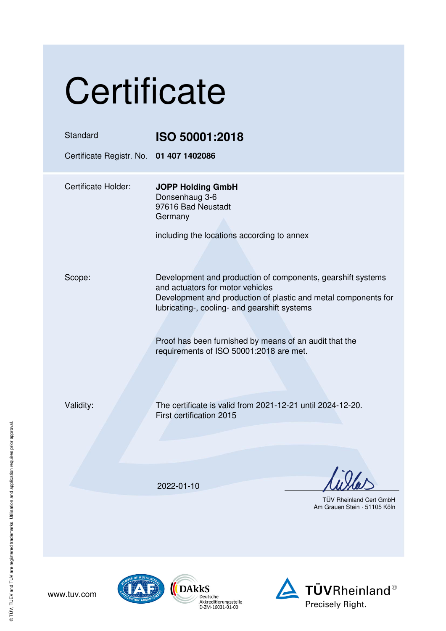| Certificate                                         |                                                                                                                                                                                                                                                                                                                        |  |
|-----------------------------------------------------|------------------------------------------------------------------------------------------------------------------------------------------------------------------------------------------------------------------------------------------------------------------------------------------------------------------------|--|
| Standard<br>Certificate Registr. No. 01 407 1402086 | ISO 50001:2018                                                                                                                                                                                                                                                                                                         |  |
| <b>Certificate Holder:</b>                          | <b>JOPP Holding GmbH</b><br>Donsenhaug 3-6<br>97616 Bad Neustadt<br>Germany<br>including the locations according to annex                                                                                                                                                                                              |  |
| Scope:                                              | Development and production of components, gearshift systems<br>and actuators for motor vehicles<br>Development and production of plastic and metal components for<br>lubricating-, cooling- and gearshift systems<br>Proof has been furnished by means of an audit that the<br>requirements of ISO 50001:2018 are met. |  |
| Validity:                                           | The certificate is valid from 2021-12-21 until 2024-12-20.<br>First certification 2015                                                                                                                                                                                                                                 |  |
|                                                     | 2022-01-10<br><b>TÜV Rheinland Cert GmbH</b><br>Am Grauen Stein · 51105 Köln                                                                                                                                                                                                                                           |  |



www.tuv.com

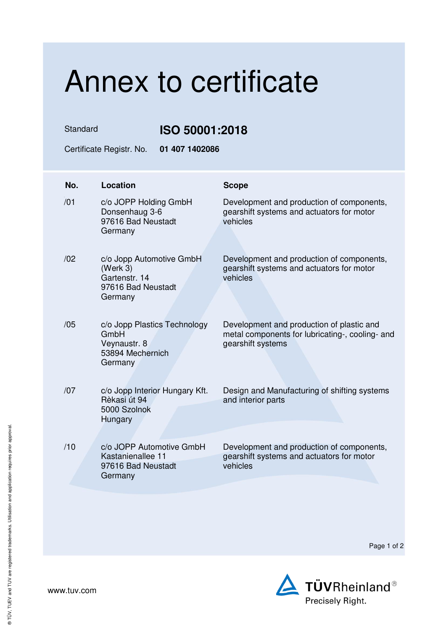## Annex to certificate

Standard **ISO 50001:2018** 

Certificate Registr. No. **01 407 1402086** 

| No. | Location                                                                               | <b>Scope</b>                                                                                                      |
|-----|----------------------------------------------------------------------------------------|-------------------------------------------------------------------------------------------------------------------|
| /01 | c/o JOPP Holding GmbH<br>Donsenhaug 3-6<br>97616 Bad Neustadt<br>Germany               | Development and production of components,<br>gearshift systems and actuators for motor<br>vehicles                |
| /02 | c/o Jopp Automotive GmbH<br>(Werk 3)<br>Gartenstr, 14<br>97616 Bad Neustadt<br>Germany | Development and production of components,<br>gearshift systems and actuators for motor<br>vehicles                |
| /05 | c/o Jopp Plastics Technology<br>GmbH<br>Veynaustr. 8<br>53894 Mechernich<br>Germany    | Development and production of plastic and<br>metal components for lubricating-, cooling- and<br>gearshift systems |
| /07 | c/o Jopp Interior Hungary Kft.<br>Rèkasi út 94<br>5000 Szolnok<br>Hungary              | Design and Manufacturing of shifting systems<br>and interior parts                                                |
| /10 | c/o JOPP Automotive GmbH<br>Kastanienallee 11<br>97616 Bad Neustadt<br>Germany         | Development and production of components,<br>gearshift systems and actuators for motor<br>vehicles                |

Page 1 of 2